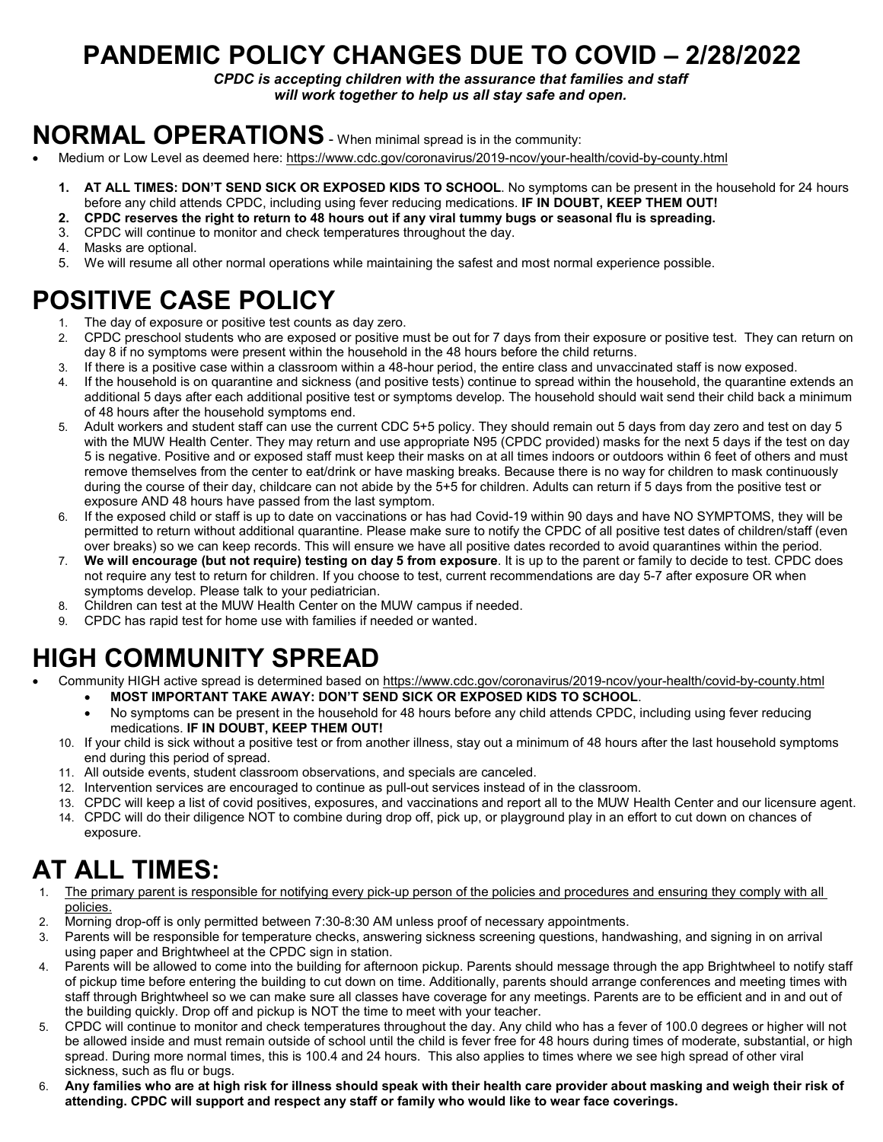# **PANDEMIC POLICY CHANGES DUE TO COVID – 2/28/2022**

*CPDC is accepting children with the assurance that families and staff will work together to help us all stay safe and open.*

# **NORMAL OPERATIONS**- When minimal spread is in the community:

- Medium or Low Level as deemed here[: https://www.cdc.gov/coronavirus/2019-ncov/your-health/covid-by-county.html](https://www.cdc.gov/coronavirus/2019-ncov/your-health/covid-by-county.html)
	- **1. AT ALL TIMES: DON'T SEND SICK OR EXPOSED KIDS TO SCHOOL**. No symptoms can be present in the household for 24 hours before any child attends CPDC, including using fever reducing medications. **IF IN DOUBT, KEEP THEM OUT!**
	- **2. CPDC reserves the right to return to 48 hours out if any viral tummy bugs or seasonal flu is spreading.**
	- 3. CPDC will continue to monitor and check temperatures throughout the day.
	- 4. Masks are optional.
	- 5. We will resume all other normal operations while maintaining the safest and most normal experience possible.

### **POSITIVE CASE POLICY**

- 1. The day of exposure or positive test counts as day zero.
- 2. CPDC preschool students who are exposed or positive must be out for 7 days from their exposure or positive test. They can return on day 8 if no symptoms were present within the household in the 48 hours before the child returns.
- 3. If there is a positive case within a classroom within a 48-hour period, the entire class and unvaccinated staff is now exposed.
- 4. If the household is on quarantine and sickness (and positive tests) continue to spread within the household, the quarantine extends an additional 5 days after each additional positive test or symptoms develop. The household should wait send their child back a minimum of 48 hours after the household symptoms end.
- 5. Adult workers and student staff can use the current CDC 5+5 policy. They should remain out 5 days from day zero and test on day 5 with the MUW Health Center. They may return and use appropriate N95 (CPDC provided) masks for the next 5 days if the test on day 5 is negative. Positive and or exposed staff must keep their masks on at all times indoors or outdoors within 6 feet of others and must remove themselves from the center to eat/drink or have masking breaks. Because there is no way for children to mask continuously during the course of their day, childcare can not abide by the 5+5 for children. Adults can return if 5 days from the positive test or exposure AND 48 hours have passed from the last symptom.
- 6. If the exposed child or staff is up to date on vaccinations or has had Covid-19 within 90 days and have NO SYMPTOMS, they will be permitted to return without additional quarantine. Please make sure to notify the CPDC of all positive test dates of children/staff (even over breaks) so we can keep records. This will ensure we have all positive dates recorded to avoid quarantines within the period.
- 7. **We will encourage (but not require) testing on day 5 from exposure**. It is up to the parent or family to decide to test. CPDC does not require any test to return for children. If you choose to test, current recommendations are day 5-7 after exposure OR when symptoms develop. Please talk to your pediatrician.
- 8. Children can test at the MUW Health Center on the MUW campus if needed.
- 9. CPDC has rapid test for home use with families if needed or wanted.

## **HIGH COMMUNITY SPREAD**

- Community HIGH active spread is determined based o[n https://www.cdc.gov/coronavirus/2019-ncov/your-health/covid-by-county.html](https://www.cdc.gov/coronavirus/2019-ncov/your-health/covid-by-county.html)
	- **MOST IMPORTANT TAKE AWAY: DON'T SEND SICK OR EXPOSED KIDS TO SCHOOL**.
	- No symptoms can be present in the household for 48 hours before any child attends CPDC, including using fever reducing medications. **IF IN DOUBT, KEEP THEM OUT!**
	- 10. If your child is sick without a positive test or from another illness, stay out a minimum of 48 hours after the last household symptoms end during this period of spread.
	- 11. All outside events, student classroom observations, and specials are canceled.
	- 12. Intervention services are encouraged to continue as pull-out services instead of in the classroom.
	- 13. CPDC will keep a list of covid positives, exposures, and vaccinations and report all to the MUW Health Center and our licensure agent.
	- 14. CPDC will do their diligence NOT to combine during drop off, pick up, or playground play in an effort to cut down on chances of exposure.

## **AT ALL TIMES:**

- 1. The primary parent is responsible for notifying every pick-up person of the policies and procedures and ensuring they comply with all policies.
- 2. Morning drop-off is only permitted between 7:30-8:30 AM unless proof of necessary appointments.
- 3. Parents will be responsible for temperature checks, answering sickness screening questions, handwashing, and signing in on arrival using paper and Brightwheel at the CPDC sign in station.
- 4. Parents will be allowed to come into the building for afternoon pickup. Parents should message through the app Brightwheel to notify staff of pickup time before entering the building to cut down on time. Additionally, parents should arrange conferences and meeting times with staff through Brightwheel so we can make sure all classes have coverage for any meetings. Parents are to be efficient and in and out of the building quickly. Drop off and pickup is NOT the time to meet with your teacher.
- 5. CPDC will continue to monitor and check temperatures throughout the day. Any child who has a fever of 100.0 degrees or higher will not be allowed inside and must remain outside of school until the child is fever free for 48 hours during times of moderate, substantial, or high spread. During more normal times, this is 100.4 and 24 hours. This also applies to times where we see high spread of other viral sickness, such as flu or bugs.
- 6. **Any families who are at high risk for illness should speak with their health care provider about masking and weigh their risk of attending. CPDC will support and respect any staff or family who would like to wear face coverings.**